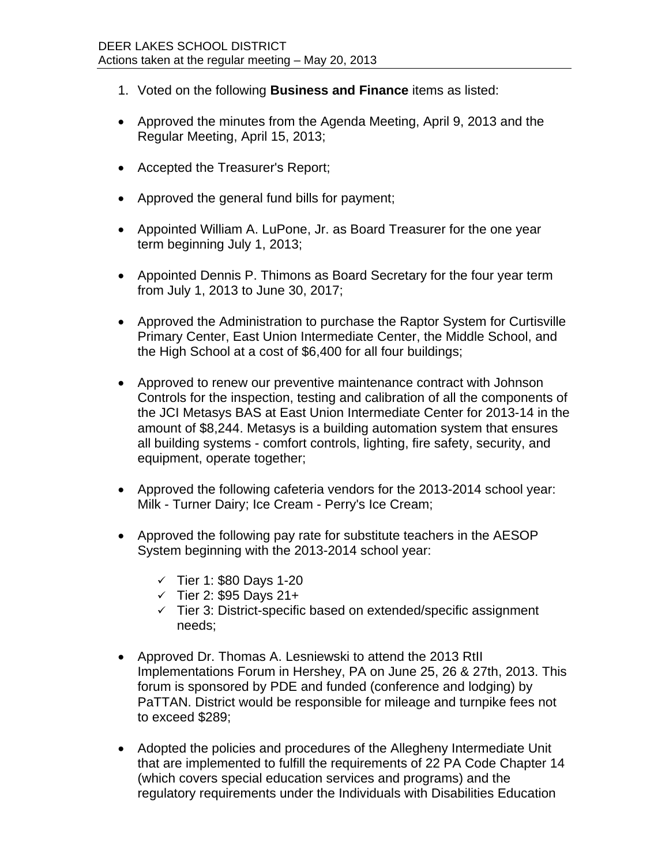- 1. Voted on the following **Business and Finance** items as listed:
- Approved the minutes from the Agenda Meeting, April 9, 2013 and the Regular Meeting, April 15, 2013;
- Accepted the Treasurer's Report;
- Approved the general fund bills for payment:
- Appointed William A. LuPone, Jr. as Board Treasurer for the one year term beginning July 1, 2013;
- Appointed Dennis P. Thimons as Board Secretary for the four year term from July 1, 2013 to June 30, 2017;
- Approved the Administration to purchase the Raptor System for Curtisville Primary Center, East Union Intermediate Center, the Middle School, and the High School at a cost of \$6,400 for all four buildings;
- Approved to renew our preventive maintenance contract with Johnson Controls for the inspection, testing and calibration of all the components of the JCI Metasys BAS at East Union Intermediate Center for 2013-14 in the amount of \$8,244. Metasys is a building automation system that ensures all building systems - comfort controls, lighting, fire safety, security, and equipment, operate together;
- Approved the following cafeteria vendors for the 2013-2014 school year: Milk - Turner Dairy; Ice Cream - Perry's Ice Cream;
- Approved the following pay rate for substitute teachers in the AESOP System beginning with the 2013-2014 school year:
	- $\checkmark$  Tier 1: \$80 Days 1-20
	- $\checkmark$  Tier 2: \$95 Days 21+
	- $\checkmark$  Tier 3: District-specific based on extended/specific assignment needs;
- Approved Dr. Thomas A. Lesniewski to attend the 2013 RtII Implementations Forum in Hershey, PA on June 25, 26 & 27th, 2013. This forum is sponsored by PDE and funded (conference and lodging) by PaTTAN. District would be responsible for mileage and turnpike fees not to exceed \$289;
- Adopted the policies and procedures of the Allegheny Intermediate Unit that are implemented to fulfill the requirements of 22 PA Code Chapter 14 (which covers special education services and programs) and the regulatory requirements under the Individuals with Disabilities Education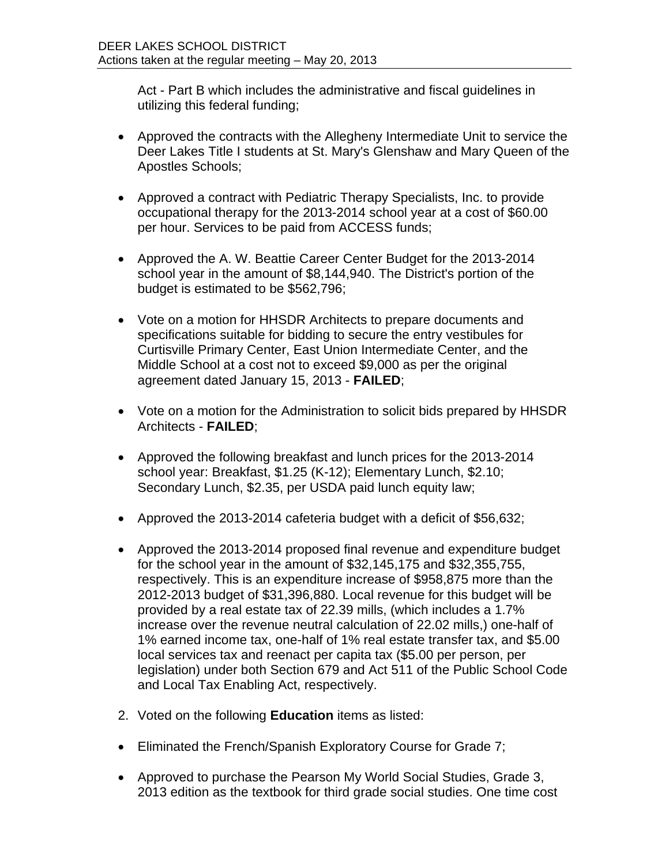Act - Part B which includes the administrative and fiscal guidelines in utilizing this federal funding;

- Approved the contracts with the Allegheny Intermediate Unit to service the Deer Lakes Title I students at St. Mary's Glenshaw and Mary Queen of the Apostles Schools;
- Approved a contract with Pediatric Therapy Specialists, Inc. to provide occupational therapy for the 2013-2014 school year at a cost of \$60.00 per hour. Services to be paid from ACCESS funds;
- Approved the A. W. Beattie Career Center Budget for the 2013-2014 school year in the amount of \$8,144,940. The District's portion of the budget is estimated to be \$562,796;
- Vote on a motion for HHSDR Architects to prepare documents and specifications suitable for bidding to secure the entry vestibules for Curtisville Primary Center, East Union Intermediate Center, and the Middle School at a cost not to exceed \$9,000 as per the original agreement dated January 15, 2013 - **FAILED**;
- Vote on a motion for the Administration to solicit bids prepared by HHSDR Architects - **FAILED**;
- Approved the following breakfast and lunch prices for the 2013-2014 school year: Breakfast, \$1.25 (K-12); Elementary Lunch, \$2.10; Secondary Lunch, \$2.35, per USDA paid lunch equity law;
- Approved the 2013-2014 cafeteria budget with a deficit of \$56,632;
- Approved the 2013-2014 proposed final revenue and expenditure budget for the school year in the amount of \$32,145,175 and \$32,355,755, respectively. This is an expenditure increase of \$958,875 more than the 2012-2013 budget of \$31,396,880. Local revenue for this budget will be provided by a real estate tax of 22.39 mills, (which includes a 1.7% increase over the revenue neutral calculation of 22.02 mills,) one-half of 1% earned income tax, one-half of 1% real estate transfer tax, and \$5.00 local services tax and reenact per capita tax (\$5.00 per person, per legislation) under both Section 679 and Act 511 of the Public School Code and Local Tax Enabling Act, respectively.
- 2. Voted on the following **Education** items as listed:
- **Eliminated the French/Spanish Exploratory Course for Grade 7;**
- Approved to purchase the Pearson My World Social Studies, Grade 3, 2013 edition as the textbook for third grade social studies. One time cost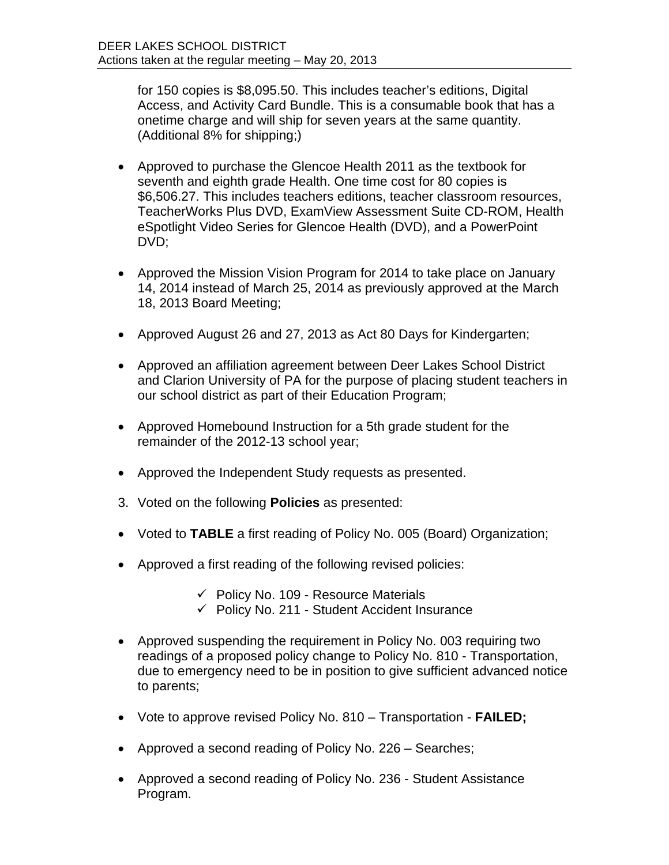for 150 copies is \$8,095.50. This includes teacher's editions, Digital Access, and Activity Card Bundle. This is a consumable book that has a onetime charge and will ship for seven years at the same quantity. (Additional 8% for shipping;)

- Approved to purchase the Glencoe Health 2011 as the textbook for seventh and eighth grade Health. One time cost for 80 copies is \$6,506.27. This includes teachers editions, teacher classroom resources, TeacherWorks Plus DVD, ExamView Assessment Suite CD-ROM, Health eSpotlight Video Series for Glencoe Health (DVD), and a PowerPoint DVD;
- Approved the Mission Vision Program for 2014 to take place on January 14, 2014 instead of March 25, 2014 as previously approved at the March 18, 2013 Board Meeting;
- Approved August 26 and 27, 2013 as Act 80 Days for Kindergarten;
- Approved an affiliation agreement between Deer Lakes School District and Clarion University of PA for the purpose of placing student teachers in our school district as part of their Education Program;
- Approved Homebound Instruction for a 5th grade student for the remainder of the 2012-13 school year;
- Approved the Independent Study requests as presented.
- 3. Voted on the following **Policies** as presented:
- Voted to **TABLE** a first reading of Policy No. 005 (Board) Organization;
- Approved a first reading of the following revised policies:
	- $\checkmark$  Policy No. 109 Resource Materials
	- $\checkmark$  Policy No. 211 Student Accident Insurance
- Approved suspending the requirement in Policy No. 003 requiring two readings of a proposed policy change to Policy No. 810 - Transportation, due to emergency need to be in position to give sufficient advanced notice to parents;
- Vote to approve revised Policy No. 810 Transportation **FAILED;**
- Approved a second reading of Policy No. 226 Searches;
- Approved a second reading of Policy No. 236 Student Assistance Program.